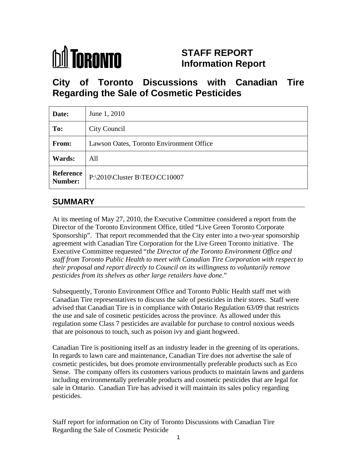

# **STAFF REPORT Information Report**

**City of Toronto Discussions with Canadian Tire Regarding the Sale of Cosmetic Pesticides**

| Date:  | June 1, 2010                             |
|--------|------------------------------------------|
| To:    | City Council                             |
| From:  | Lawson Oates, Toronto Environment Office |
| Wards: | All                                      |
|        | Reference P:\2010\Cluster B\TEO\CC10007  |

## **SUMMARY**

At its meeting of May 27, 2010, the Executive Committee considered a report from the Director of the Toronto Environment Office, titled "Live Green Toronto Corporate Sponsorship". That report recommended that the City enter into a two-year sponsorship agreement with Canadian Tire Corporation for the Live Green Toronto initiative. The Executive Committee requested "*the Director of the Toronto Environment Office and staff from Toronto Public Health to meet with Canadian Tire Corporation with respect to their proposal and report directly to Council on its willingness to voluntarily remove pesticides from its shelves as other large retailers have done*."

Subsequently, Toronto Environment Office and Toronto Public Health staff met with Canadian Tire representatives to discuss the sale of pesticides in their stores. Staff were advised that Canadian Tire is in compliance with Ontario Regulation 63/09 that restricts the use and sale of cosmetic pesticides across the province. As allowed under this regulation some Class 7 pesticides are available for purchase to control noxious weeds that are poisonous to touch, such as poison ivy and giant hogweed.

Canadian Tire is positioning itself as an industry leader in the greening of its operations. In regards to lawn care and maintenance, Canadian Tire does not advertise the sale of cosmetic pesticides, but does promote environmentally preferable products such as Eco Sense. The company offers its customers various products to maintain lawns and gardens including environmentally preferable products and cosmetic pesticides that are legal for sale in Ontario. Canadian Tire has advised it will maintain its sales policy regarding pesticides.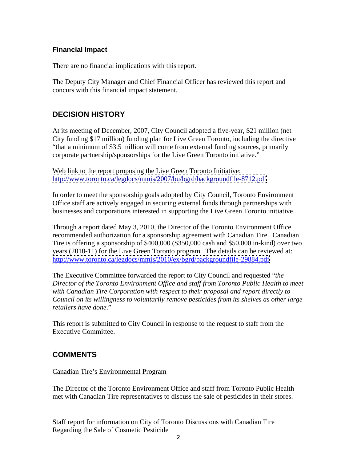#### **Financial Impact**

There are no financial implications with this report.

The Deputy City Manager and Chief Financial Officer has reviewed this report and concurs with this financial impact statement.

### **DECISION HISTORY**

At its meeting of December, 2007, City Council adopted a five-year, \$21 million (net City funding \$17 million) funding plan for Live Green Toronto, including the directive "that a minimum of \$3.5 million will come from external funding sources, primarily corporate partnership/sponsorships for the Live Green Toronto initiative."

Web link to the report proposing the Live Green Toronto Initiative: <http://www.toronto.ca/legdocs/mmis/2007/bu/bgrd/backgroundfile-8712.pdf>

In order to meet the sponsorship goals adopted by City Council, Toronto Environment Office staff are actively engaged in securing external funds through partnerships with businesses and corporations interested in supporting the Live Green Toronto initiative.

Through a report dated May 3, 2010, the Director of the Toronto Environment Office recommended authorization for a sponsorship agreement with Canadian Tire. Canadian Tire is offering a sponsorship of \$400,000 (\$350,000 cash and \$50,000 in-kind) over two years (2010-11) for the Live Green Toronto program. The details can be reviewed at: <http://www.toronto.ca/legdocs/mmis/2010/ex/bgrd/backgroundfile-29884.pdf>

The Executive Committee forwarded the report to City Council and requested "*the Director of the Toronto Environment Office and staff from Toronto Public Health to meet with Canadian Tire Corporation with respect to their proposal and report directly to Council on its willingness to voluntarily remove pesticides from its shelves as other large retailers have done."*<br>This report is submitted to City Council in response to the request to staff from the

Executive Committee.

### **COMMENTS**

#### Canadian Tire's Environmental Program

The Director of the Toronto Environment Office and staff from Toronto Public Health met with Canadian Tire representatives to discuss the sale of pesticides in their stores.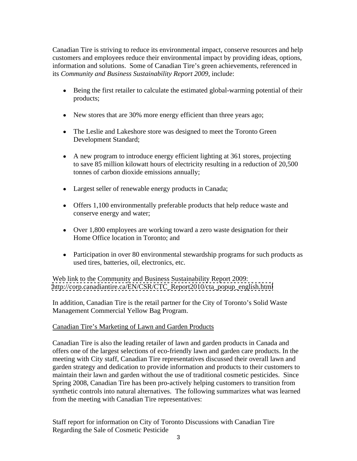Canadian Tire is striving to reduce its environmental impact, conserve resources and help customers and employees reduce their environmental impact by providing ideas, options, information and solutions. Some of Canadian Tire's green achievements, referenced in its *Community and Business Sustainability Report 2009*, include:

- Being the first retailer to calculate the estimated global-warming potential of their products;
- New stores that are 30% more energy efficient than three years ago;
- The Leslie and Lakeshore store was designed to meet the Toronto Green Development Standard;
- A new program to introduce energy efficient lighting at 361 stores, projecting to save 85 million kilowatt hours of electricity resulting in a reduction of 20,500 tonnes of carbon dioxide emissions annually;
- Largest seller of renewable energy products in Canada;
- Offers 1,100 environmentally preferable products that help reduce waste and conserve energy and water;
- Over 1,800 employees are working toward a zero waste designation for their Home Office location in Toronto; and
- Participation in over 80 environmental stewardship programs for such products as used tires, batteries, oil, electronics, etc.

Web link to the Community and Business Sustainability Report 2009: [http://corp.canadiantire.ca/EN/CSR/CTC\\_Report2010/cta\\_popup\\_english.html](http://corp.canadiantire.ca/EN/CSR/CTC_Report2010/cta_popup_english.html)

In addition, Canadian Tire is the retail partner for the City of Toronto's Solid Waste Management Commercial Yellow Bag Program.

#### Canadian Tire's Marketing of Lawn and Garden Products

Canadian Tire is also the leading retailer of lawn and garden products in Canada and offers one of the largest selections of eco-friendly lawn and garden care products. In the meeting with City staff, Canadian Tire representatives discussed their overall lawn and garden strategy and dedication to provide information and products to their customers to maintain their lawn and garden without the use of traditional cosmetic pesticides. Since Spring 2008, Canadian Tire has been pro-actively helping customers to transition from synthetic controls into natural alternatives. The following summarizes what was learned from the meeting with Canadian Tire representatives: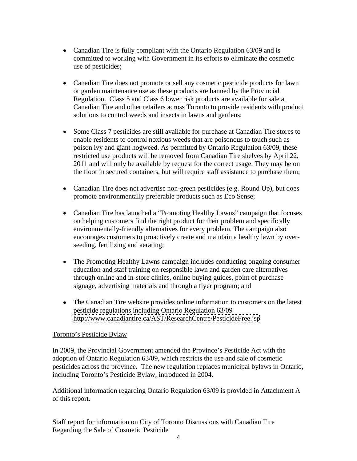- Canadian Tire is fully compliant with the Ontario Regulation 63/09 and is committed to working with Government in its efforts to eliminate the cosmetic use of pesticides;
- Canadian Tire does not promote or sell any cosmetic pesticide products for lawn or garden maintenance use as these products are banned by the Provincial Regulation. Class 5 and Class 6 lower risk products are available for sale at Canadian Tire and other retailers across Toronto to provide residents with product solutions to control weeds and insects in lawns and gardens;
- Some Class 7 pesticides are still available for purchase at Canadian Tire stores to enable residents to control noxious weeds that are poisonous to touch such as poison ivy and giant hogweed. As permitted by Ontario Regulation 63/09, these restricted use products will be removed from Canadian Tire shelves by April 22, 2011 and will only be available by request for the correct usage. They may be on the floor in secured containers, but will require staff assistance to purchase them;
- Canadian Tire does not advertise non-green pesticides (e.g. Round Up), but does promote environmentally preferable products such as Eco Sense;
- Canadian Tire has launched a "Promoting Healthy Lawns" campaign that focuses on helping customers find the right product for their problem and specifically environmentally-friendly alternatives for every problem. The campaign also encourages customers to proactively create and maintain a healthy lawn by over seeding, fertilizing and aerating;
- The Promoting Healthy Lawns campaign includes conducting ongoing consumer education and staff training on responsible lawn and garden care alternatives through online and in-store clinics, online buying guides, point of purchase signage, advertising materials and through a flyer program; and
- The Canadian Tire website provides online information to customers on the latest pesticide regulations including Ontario Regulation 63/09 <http://www.canadiantire.ca/AST/ResearchCentre/PesticideFree.jsp>

#### Toronto's Pesticide Bylaw

In 2009, the Provincial Government amended the Province's Pesticide Act with the adoption of Ontario Regulation 63/09, which restricts the use and sale of cosmetic pesticides across the province. The new regulation replaces municipal bylaws in Ontario, including Toronto's Pesticide Bylaw, introduced in 2004.

Additional information regarding Ontario Regulation 63/09 is provided in Attachment A of this report.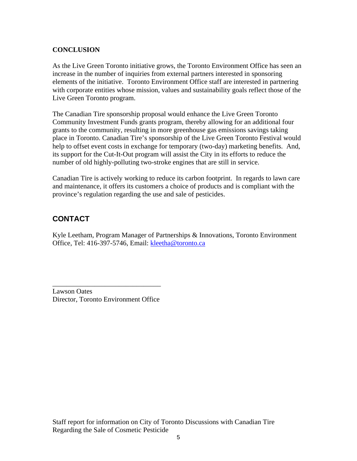#### **CONCLUSION**

As the Live Green Toronto initiative grows, the Toronto Environment Office has seen an increase in the number of inquiries from external partners interested in sponsoring elements of the initiative. Toronto Environment Office staff are interested in partnering with corporate entities whose mission, values and sustainability goals reflect those of the Live Green Toronto program.

The Canadian Tire sponsorship proposal would enhance the Live Green Toronto Community Investment Funds grants program, thereby allowing for an additional four grants to the community, resulting in more greenhouse gas emissions savings taking place in Toronto. Canadian Tire's sponsorship of the Live Green Toronto Festival would help to offset event costs in exchange for temporary (two-day) marketing benefits. And, its support for the Cut-It-Out program will assist the City in its efforts to reduce the number of old highly-polluting two-stroke engines that are still in service.

Canadian Tire is actively working to reduce its carbon footprint. In regards to lawn care and maintenance, it offers its customers a choice of products and is compliant with the province's regulation regarding the use and sale of pesticides.

## **CONTACT**

Kyle Leetham, Program Manager of Partnerships & Innovations, Toronto Environment Office, Tel: 416-397-5746, Email: kleetha@toronto.ca

 $\overline{\phantom{a}}$  , we are the contract of the contract of the contract of the contract of the contract of the contract of the contract of the contract of the contract of the contract of the contract of the contract of the cont

Lawson Oates Director, Toronto Environment Office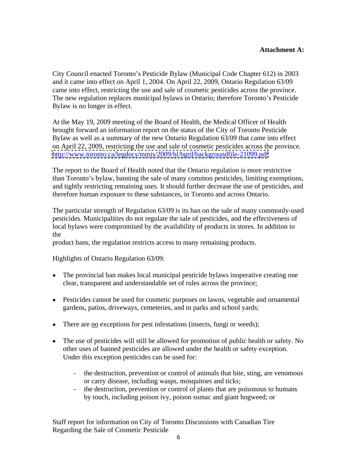#### **Attachment A:**

City Council enacted Toronto's Pesticide Bylaw (Municipal Code Chapter 612) in 2003 and it came into effect on April 1, 2004. On April 22, 2009, Ontario Regulation 63/09 came into effect, restricting the use and sale of cosmetic pesticides across the province. The new regulation replaces municipal bylaws in Ontario; therefore Toronto's Pesticide Bylaw is no longer in effect.

At the May 19, 2009 meeting of the Board of Health, the Medical Officer of Health brought forward an information report on the status of the City of Toronto Pesticide Bylaw as well as a summary of the new Ontario Regulation 63/09 that came into effect on April 22, 2009, restricting the use and sale of cosmetic pesticides across the province. <http://www.toronto.ca/legdocs/mmis/2009/hl/bgrd/backgroundfile-21099.pdf>

The report to the Board of Health noted that the Ontario regulation is more restrictive than Toronto's bylaw, banning the sale of many common pesticides, limiting exemptions, and tightly restricting remaining uses. It should further decrease the use of pesticides, and therefore human exposure to these substances, in Toronto and across Ontario.

The particular strength of Regulation 63/09 is its ban on the sale of many commonly-used pesticides. Municipalities do not regulate the sale of pesticides, and the effectiveness of local bylaws were compromised by the availability of products in stores. In addition to the state of the state of the state of the state of the state of the state of the state of the state of the state of the state of the state of the state of the state of the state of the state of the state of the state of t

product bans, the regulation restricts access to many remaining products.

Highlights of Ontario Regulation 63/09:

- The provincial ban makes local municipal pesticide bylaws inoperative creating one clear, transparent and understandable set of rules across the province;
- Pesticides cannot be used for cosmetic purposes on lawns, vegetable and ornamental gardens, patios, driveways, cemeteries, and in parks and school yards;
- There are no exceptions for pest infestations (insects, fungi or weeds);
- The use of pesticides will still be allowed for promotion of public health or safety. No other uses of banned pesticides are allowed under the health or safety exception. Under this exception pesticides can be used for:
	- the destruction, prevention or control of animals that bite, sting, are venomous or carry disease, including wasps, mosquitoes and ticks;
	- the destruction, prevention or control of plants that are poisonous to humans by touch, including poison ivy, poison sumac and giant hogweed; or